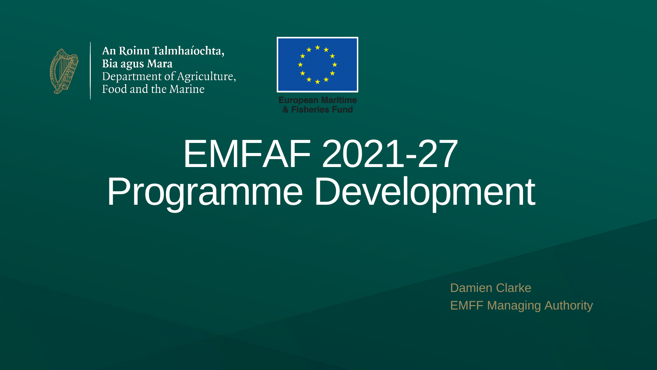

An Roinn Talmhaíochta, Bia agus Mara Department of Agriculture, Food and the Marine



# EMFAF 2021-27 Programme Development

**European Maritime** & Fisheries Fund

> Damien Clarke EMFF Managing Authority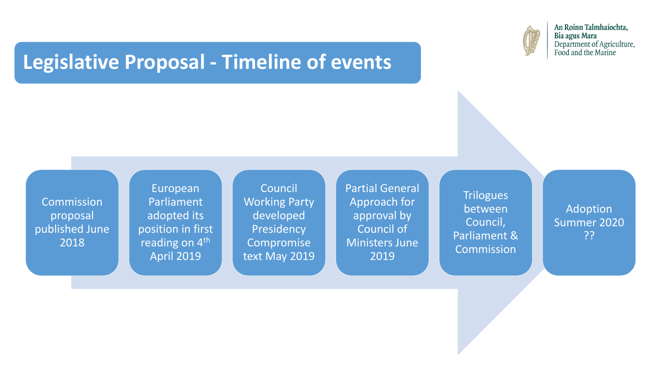#### **Legislative Proposal - Timeline of events**

**Commission** proposal published June 2018

European Parliament adopted its position in first reading on 4<sup>th</sup> April 2019

**Trilogues** between Council, Parliament & Commission

Council Working Party developed Presidency Compromise text May 2019



An Roinn Talmhaíochta, Bia agus Mara Department of Agriculture, Food and the Marine

Partial General Approach for approval by Council of Ministers June 2019

Adoption Summer 2020 ??



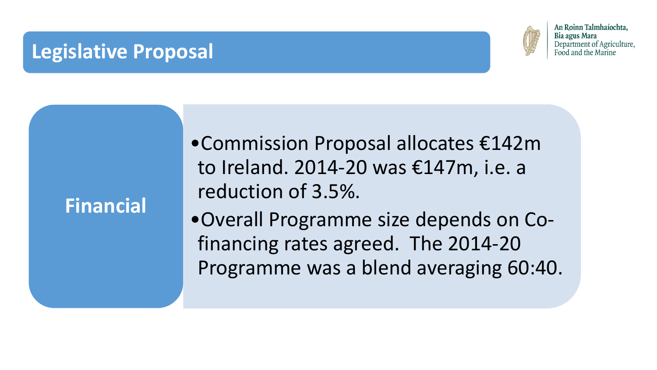•Commission Proposal allocates €142m to Ireland. 2014-20 was €147m, i.e. a reduction of 3.5%. •Overall Programme size depends on Cofinancing rates agreed. The 2014-20 Programme was a blend averaging 60:40.



An Roinn Talmhaíochta, Bia agus Mara Department of Agriculture, Food and the Marine



### **Financial**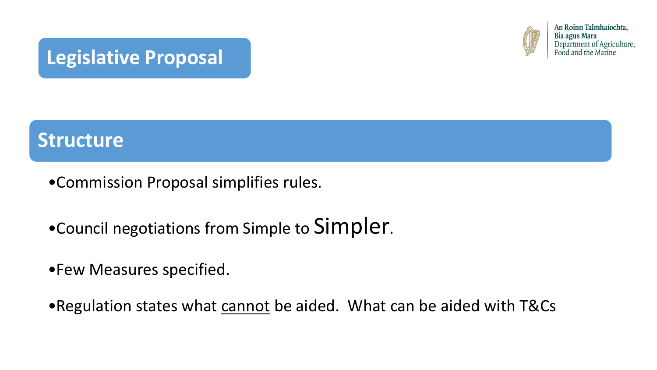- •Commission Proposal simplifies rules.
- •Council negotiations from Simple to Simpler.
- •Few Measures specified.
- •Regulation states what cannot be aided. What can be aided with T&Cs



An Roinn Talmhaíochta, Bia agus Mara Department of Agriculture, Food and the Marine



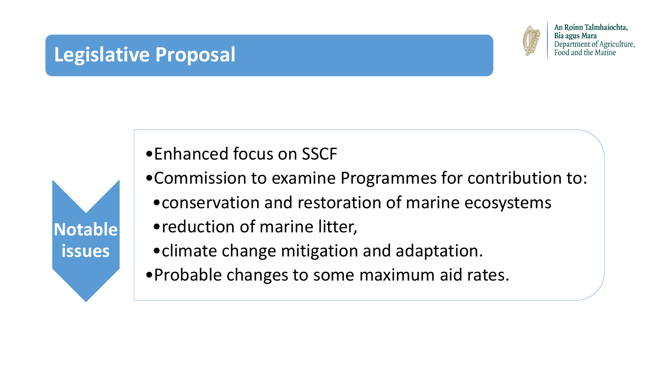

•Enhanced focus on SSCF

- •Commission to examine Programmes for contribution to:
	- •conservation and restoration of marine ecosystems
	- •reduction of marine litter,
	- •climate change mitigation and adaptation.
- •Probable changes to some maximum aid rates.



An Roinn Talmhaíochta, Bia agus Mara Department of Agriculture, Food and the Marine

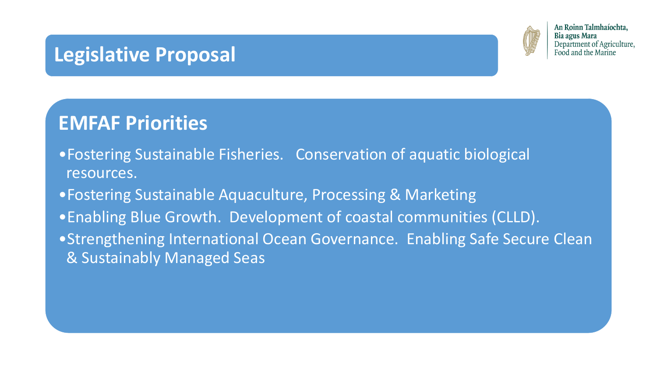### **EMFAF Priorities**

- •Fostering Sustainable Fisheries. Conservation of aquatic biological resources.
- •Fostering Sustainable Aquaculture, Processing & Marketing
- •Enabling Blue Growth. Development of coastal communities (CLLD).
- & Sustainably Managed Seas



An Roinn Talmhaíochta, Bia agus Mara Department of Agriculture, Food and the Marine

•Strengthening International Ocean Governance. Enabling Safe Secure Clean

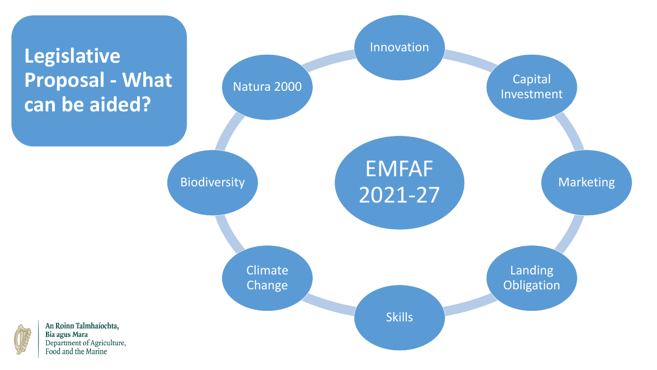## **Legislative Proposal - What can be aided?**

Landing **Obligation** 

# EMFAF 2021-27

#### Innovation

Capital Investment

Marketing

Skills



Climate Change



An Roinn Talmhaíochta, Bia agus Mara Department of Agriculture,<br>Food and the Marine

#### Biodiversity

#### Natura 2000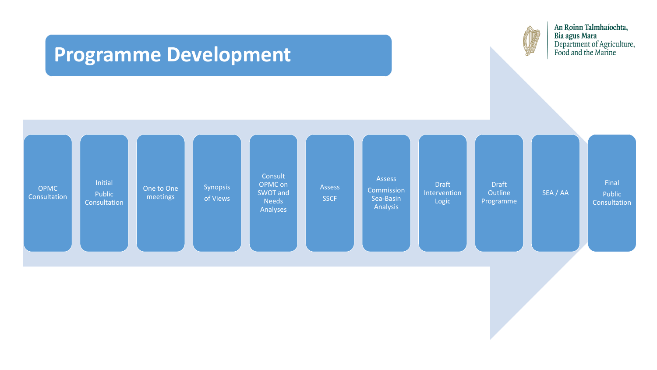

Assess **SSCF** 



An Roinn Talmhaíochta, Bia agus Mara<br>Department of Agriculture,<br>Food and the Marine

**Commission** Sea-Basin Analysis

Assess

Draft **Intervention** Logic

Draft **Outline** Programme

SEA / AA

Final Public Consultation





### **Programme Development**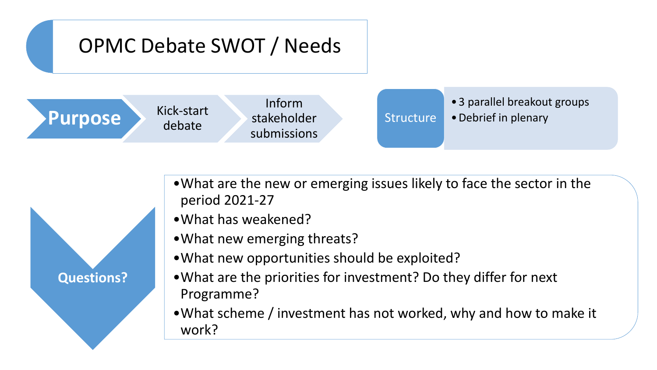# OPMC Debate SWOT / Needs





•What are the new or emerging issues likely to face the sector in the

•What new opportunities should be exploited?

- period 2021-27
- •What has weakened?
- •What new emerging threats?
- 
- Programme?
- work?

•What are the priorities for investment? Do they differ for next

•What scheme / investment has not worked, why and how to make it



**Purpose** Kick-start debate

Inform stakeholder submissions